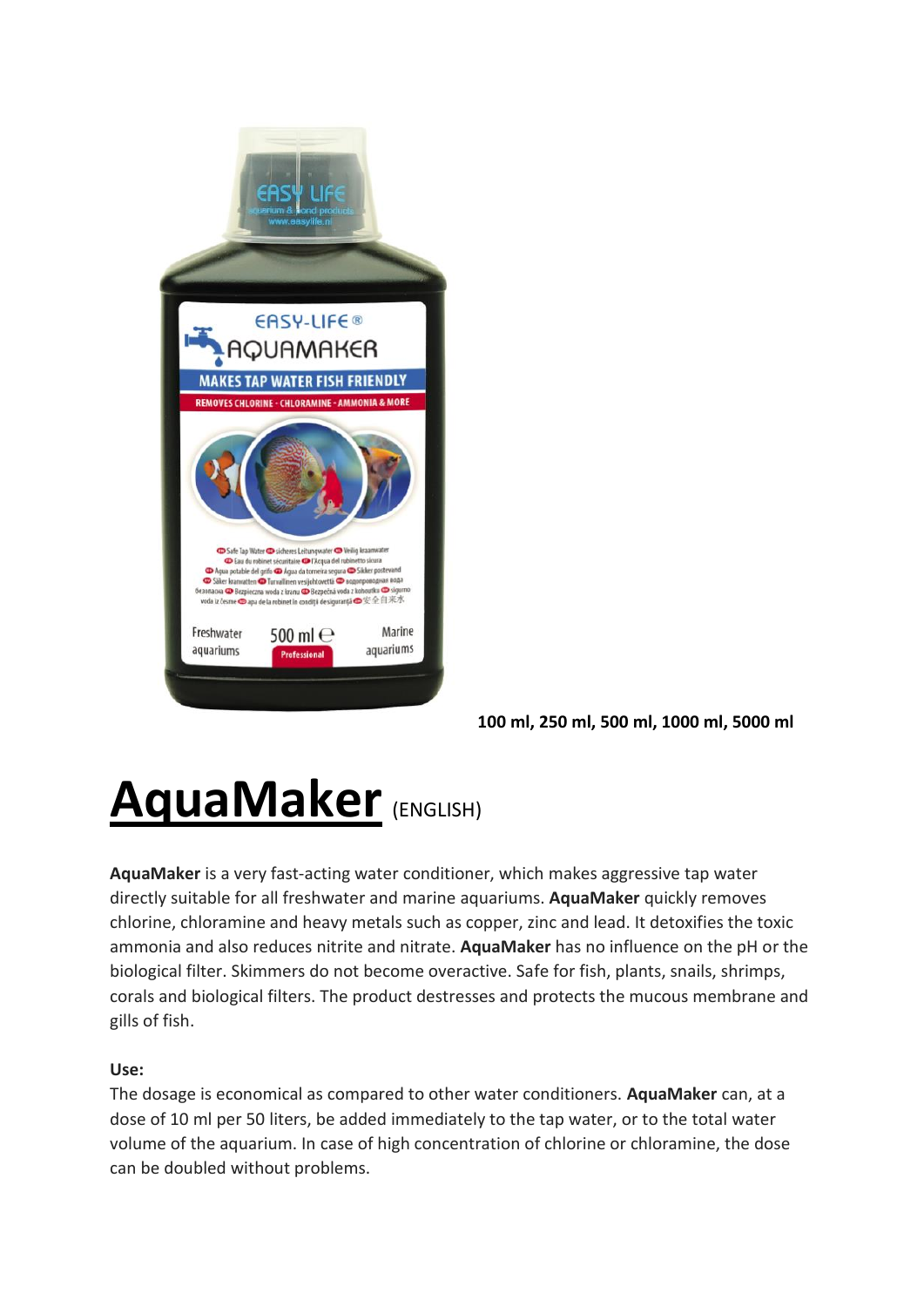

**100 ml, 250 ml, 500 ml, 1000 ml, 5000 ml**

## **AquaMaker** (ENGLISH)

**AquaMaker** is a very fast-acting water conditioner, which makes aggressive tap water directly suitable for all freshwater and marine aquariums. **AquaMaker** quickly removes chlorine, chloramine and heavy metals such as copper, zinc and lead. It detoxifies the toxic ammonia and also reduces nitrite and nitrate. **AquaMaker** has no influence on the pH or the biological filter. Skimmers do not become overactive. Safe for fish, plants, snails, shrimps, corals and biological filters. The product destresses and protects the mucous membrane and gills of fish.

### **Use:**

The dosage is economical as compared to other water conditioners. **AquaMaker** can, at a dose of 10 ml per 50 liters, be added immediately to the tap water, or to the total water volume of the aquarium. In case of high concentration of chlorine or chloramine, the dose can be doubled without problems.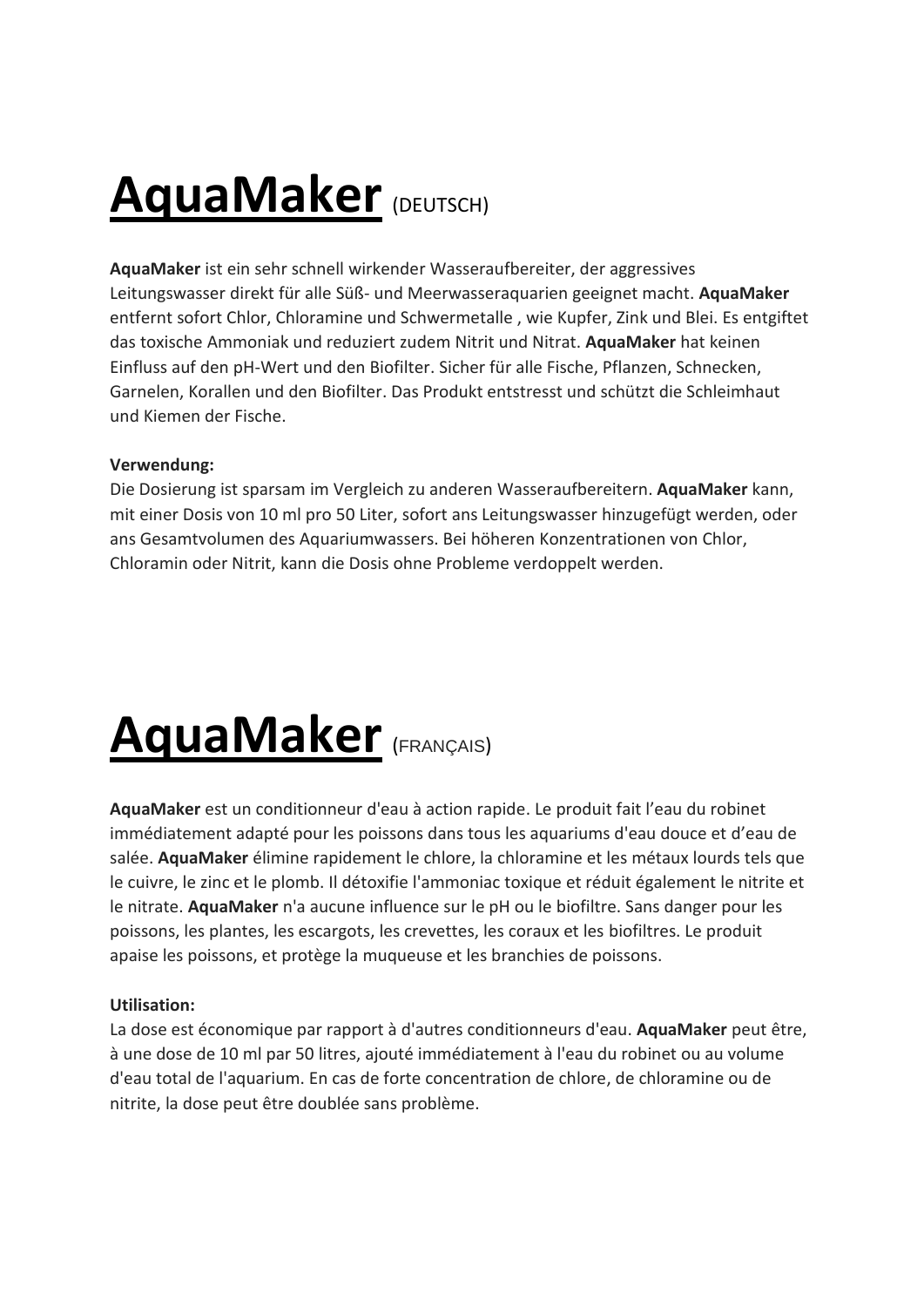### **AquaMaker** (DEUTSCH)

**AquaMaker** ist ein sehr schnell wirkender Wasseraufbereiter, der aggressives Leitungswasser direkt für alle Süß- und Meerwasseraquarien geeignet macht. **AquaMaker** entfernt sofort Chlor, Chloramine und Schwermetalle , wie Kupfer, Zink und Blei. Es entgiftet das toxische Ammoniak und reduziert zudem Nitrit und Nitrat. **AquaMaker** hat keinen Einfluss auf den pH-Wert und den Biofilter. Sicher für alle Fische, Pflanzen, Schnecken, Garnelen, Korallen und den Biofilter. Das Produkt entstresst und schützt die Schleimhaut und Kiemen der Fische.

#### **Verwendung:**

Die Dosierung ist sparsam im Vergleich zu anderen Wasseraufbereitern. **AquaMaker** kann, mit einer Dosis von 10 ml pro 50 Liter, sofort ans Leitungswasser hinzugefügt werden, oder ans Gesamtvolumen des Aquariumwassers. Bei höheren Konzentrationen von Chlor, Chloramin oder Nitrit, kann die Dosis ohne Probleme verdoppelt werden.

## **AquaMaker** (FRANÇAIS)

**AquaMaker** est un conditionneur d'eau à action rapide. Le produit fait l'eau du robinet immédiatement adapté pour les poissons dans tous les aquariums d'eau douce et d'eau de salée. **AquaMaker** élimine rapidement le chlore, la chloramine et les métaux lourds tels que le cuivre, le zinc et le plomb. Il détoxifie l'ammoniac toxique et réduit également le nitrite et le nitrate. **AquaMaker** n'a aucune influence sur le pH ou le biofiltre. Sans danger pour les poissons, les plantes, les escargots, les crevettes, les coraux et les biofiltres. Le produit apaise les poissons, et protège la muqueuse et les branchies de poissons.

### **Utilisation:**

La dose est économique par rapport à d'autres conditionneurs d'eau. **AquaMaker** peut être, à une dose de 10 ml par 50 litres, ajouté immédiatement à l'eau du robinet ou au volume d'eau total de l'aquarium. En cas de forte concentration de chlore, de chloramine ou de nitrite, la dose peut être doublée sans problème.